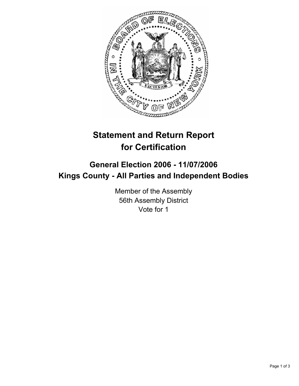

# **Statement and Return Report for Certification**

## **General Election 2006 - 11/07/2006 Kings County - All Parties and Independent Bodies**

Member of the Assembly 56th Assembly District Vote for 1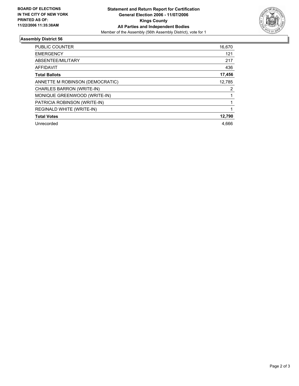

### **Assembly District 56**

| PUBLIC COUNTER                   | 16,670 |
|----------------------------------|--------|
| <b>EMERGENCY</b>                 | 121    |
| ABSENTEE/MILITARY                | 217    |
| <b>AFFIDAVIT</b>                 | 436    |
| <b>Total Ballots</b>             | 17,456 |
| ANNETTE M ROBINSON (DEMOCRATIC)  | 12,785 |
| CHARLES BARRON (WRITE-IN)        | 2      |
| MONIQUE GREENWOOD (WRITE-IN)     |        |
| PATRICIA ROBINSON (WRITE-IN)     |        |
| <b>REGINALD WHITE (WRITE-IN)</b> |        |
| <b>Total Votes</b>               | 12,790 |
| Unrecorded                       | 4.666  |